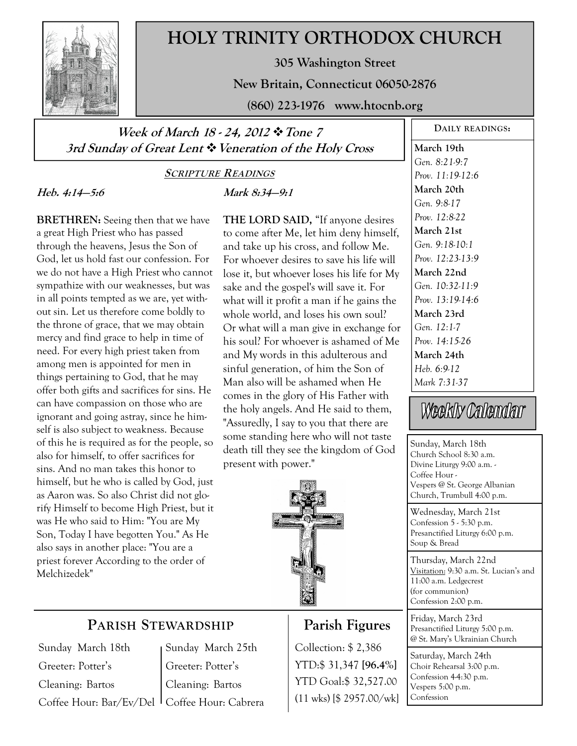

# **HOLY TRINITY ORTHODOX CHURCH**

**305 Washington Street** 

**New Britain, Connecticut 06050-2876** 

**(860) 223-1976 www.htocnb.org** 

**Week of March 18 - 24, 2012 Tone 7 3rd Sunday of Great Lent Veneration of the Holy Cross** 

### **SCRIPTURE READINGS**

**Mark 8:34—9:1** 

## **Heb. 4:14—5:6**

# **BRETHREN:** Seeing then that we have a great High Priest who has passed through the heavens, Jesus the Son of God, let us hold fast our confession. For we do not have a High Priest who cannot sympathize with our weaknesses, but was in all points tempted as we are, yet without sin. Let us therefore come boldly to the throne of grace, that we may obtain mercy and find grace to help in time of need. For every high priest taken from among men is appointed for men in things pertaining to God, that he may offer both gifts and sacrifices for sins. He can have compassion on those who are ignorant and going astray, since he himself is also subject to weakness. Because of this he is required as for the people, so also for himself, to offer sacrifices for sins. And no man takes this honor to himself, but he who is called by God, just as Aaron was. So also Christ did not glorify Himself to become High Priest, but it was He who said to Him: "You are My Son, Today I have begotten You." As He also says in another place: "You are a priest forever According to the order of Melchizedek"

**THE LORD SAID,** "If anyone desires to come after Me, let him deny himself, and take up his cross, and follow Me. For whoever desires to save his life will lose it, but whoever loses his life for My sake and the gospel's will save it. For what will it profit a man if he gains the whole world, and loses his own soul? Or what will a man give in exchange for his soul? For whoever is ashamed of Me and My words in this adulterous and sinful generation, of him the Son of Man also will be ashamed when He comes in the glory of His Father with the holy angels. And He said to them, "Assuredly, I say to you that there are some standing here who will not taste death till they see the kingdom of God present with power."



# **Parish Figures**

Collection: \$ 2,386 YTD:\$ 31,347 **[96.4%]** YTD Goal:\$ 32,527.00 (11 wks) [\$ 2957.00/wk]

# **DAILY READINGS:**

**March 19th**  *Gen. 8:21-9:7 Prov. 11:19-12:6*  **March 20th**  *Gen. 9:8-17 Prov. 12:8-22*  **March 21st**  *Gen. 9:18-10:1 Prov. 12:23-13:9*  **March 22nd**  *Gen. 10:32-11:9 Prov. 13:19-14:6*  **March 23rd**  *Gen. 12:1-7 Prov. 14:15-26*  **March 24th**  *Heb. 6:9-12 Mark 7:31-37* 

# Weekly Calendar

Sunday, March 18th Church School 8:30 a.m. Divine Liturgy 9:00 a.m. - Coffee Hour - Vespers @ St. George Albanian Church, Trumbull 4:00 p.m.

Wednesday, March 21st Confession 5 - 5:30 p.m. Presanctified Liturgy 6:00 p.m. Soup & Bread

Thursday, March 22nd Visitation: 9:30 a.m. St. Lucian's and 11:00 a.m. Ledgecrest (for communion) Confession 2:00 p.m.

Friday, March 23rd Presanctified Liturgy 5:00 p.m. @ St. Mary's Ukrainian Church

Saturday, March 24th Choir Rehearsal 3:00 p.m. Confession 4-4:30 p.m. Vespers 5:00 p.m. Confession

# **PARISH STEWARDSHIP**

Sunday March 18th Greeter: Potter's Cleaning: Bartos

Coffee Hour: Bar/Ev/Del Coffee Hour: Cabrera Sunday March 25th Greeter: Potter's Cleaning: Bartos